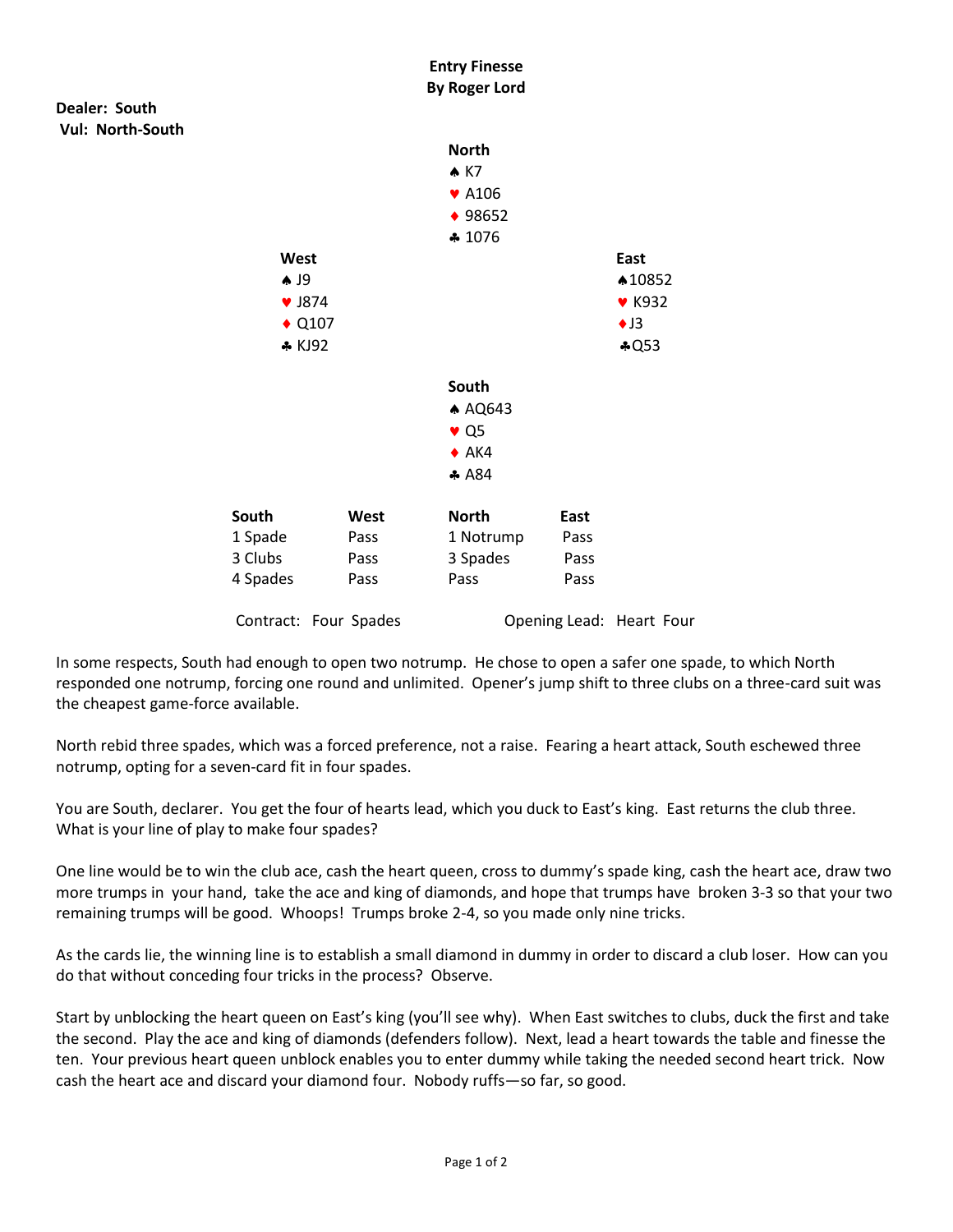

In some respects, South had enough to open two notrump. He chose to open a safer one spade, to which North responded one notrump, forcing one round and unlimited. Opener's jump shift to three clubs on a three-card suit was the cheapest game-force available.

North rebid three spades, which was a forced preference, not a raise. Fearing a heart attack, South eschewed three notrump, opting for a seven-card fit in four spades.

You are South, declarer. You get the four of hearts lead, which you duck to East's king. East returns the club three. What is your line of play to make four spades?

One line would be to win the club ace, cash the heart queen, cross to dummy's spade king, cash the heart ace, draw two more trumps in your hand, take the ace and king of diamonds, and hope that trumps have broken 3-3 so that your two remaining trumps will be good. Whoops! Trumps broke 2-4, so you made only nine tricks.

As the cards lie, the winning line is to establish a small diamond in dummy in order to discard a club loser. How can you do that without conceding four tricks in the process? Observe.

Start by unblocking the heart queen on East's king (you'll see why). When East switches to clubs, duck the first and take the second. Play the ace and king of diamonds (defenders follow). Next, lead a heart towards the table and finesse the ten. Your previous heart queen unblock enables you to enter dummy while taking the needed second heart trick. Now cash the heart ace and discard your diamond four. Nobody ruffs—so far, so good.